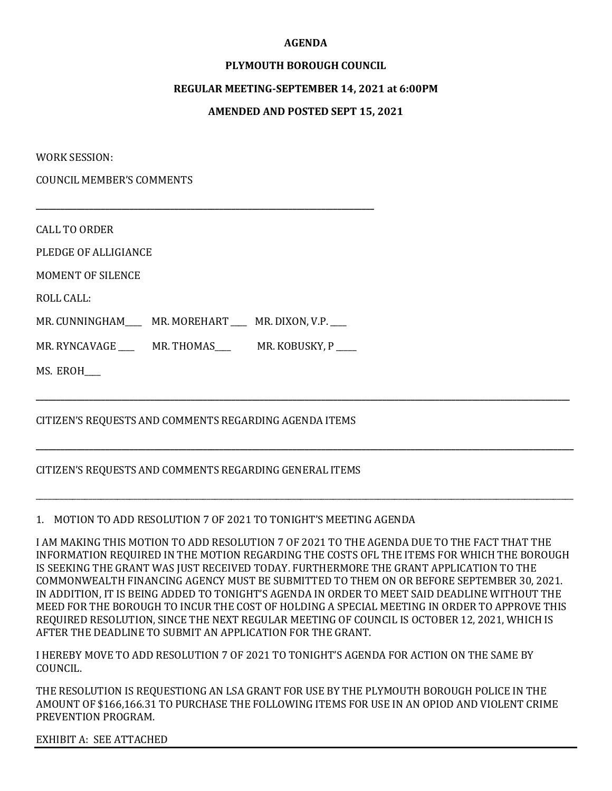#### **AGENDA**

# **PLYMOUTH BOROUGH COUNCIL**

#### **REGULAR MEETING-SEPTEMBER 14, 2021 at 6:00PM**

# **AMENDED AND POSTED SEPT 15, 2021**

WORK SESSION:

COUNCIL MEMBER'S COMMENTS

CALL TO ORDER

PLEDGE OF ALLIGIANCE

MOMENT OF SILENCE

ROLL CALL:

MR. CUNNINGHAM\_\_\_\_ MR. MOREHART \_\_\_ MR. DIXON, V.P. \_\_\_

**\_\_\_\_\_\_\_\_\_\_\_\_\_\_\_\_\_\_\_\_\_\_\_\_\_\_\_\_\_\_\_\_\_\_\_\_\_\_\_\_\_\_\_\_\_\_\_\_\_\_\_\_\_\_\_\_\_\_\_\_\_\_\_\_\_\_\_\_\_\_\_\_\_\_\_\_\_\_\_\_\_\_\_**

MR. RYNCAVAGE \_\_\_\_\_ MR. THOMAS\_\_\_\_ MR. KOBUSKY, P \_\_\_\_

MS. EROH\_\_\_\_

# CITIZEN'S REQUESTS AND COMMENTS REGARDING AGENDA ITEMS

# CITIZEN'S REQUESTS AND COMMENTS REGARDING GENERAL ITEMS

# 1. MOTION TO ADD RESOLUTION 7 OF 2021 TO TONIGHT'S MEETING AGENDA

I AM MAKING THIS MOTION TO ADD RESOLUTION 7 OF 2021 TO THE AGENDA DUE TO THE FACT THAT THE INFORMATION REQUIRED IN THE MOTION REGARDING THE COSTS OFL THE ITEMS FOR WHICH THE BOROUGH IS SEEKING THE GRANT WAS JUST RECEIVED TODAY. FURTHERMORE THE GRANT APPLICATION TO THE COMMONWEALTH FINANCING AGENCY MUST BE SUBMITTED TO THEM ON OR BEFORE SEPTEMBER 30, 2021. IN ADDITION, IT IS BEING ADDED TO TONIGHT'S AGENDA IN ORDER TO MEET SAID DEADLINE WITHOUT THE MEED FOR THE BOROUGH TO INCUR THE COST OF HOLDING A SPECIAL MEETING IN ORDER TO APPROVE THIS REQUIRED RESOLUTION, SINCE THE NEXT REGULAR MEETING OF COUNCIL IS OCTOBER 12, 2021, WHICH IS AFTER THE DEADLINE TO SUBMIT AN APPLICATION FOR THE GRANT.

**\_\_\_\_\_\_\_\_\_\_\_\_\_\_\_\_\_\_\_\_\_\_\_\_\_\_\_\_\_\_\_\_\_\_\_\_\_\_\_\_\_\_\_\_\_\_\_\_\_\_\_\_\_\_\_\_\_\_\_\_\_\_\_\_\_\_\_\_\_\_\_\_\_\_\_\_\_\_\_\_\_\_\_\_\_\_\_\_\_\_\_\_\_\_\_\_\_\_\_\_\_\_\_\_\_\_\_\_\_\_\_\_\_\_\_\_\_\_\_\_\_\_\_\_\_\_\_\_\_\_\_**

**\_\_\_\_\_\_\_\_\_\_\_\_\_\_\_\_\_\_\_\_\_\_\_\_\_\_\_\_\_\_\_\_\_\_\_\_\_\_\_\_\_\_\_\_\_\_\_\_\_\_\_\_\_\_\_\_\_\_\_\_\_\_\_\_\_\_\_\_\_\_\_\_\_\_\_\_\_\_\_\_\_\_\_\_\_\_\_\_\_\_\_\_\_\_\_\_\_\_\_\_\_\_\_\_\_\_\_\_\_\_\_\_\_\_\_\_\_\_\_\_\_\_\_\_\_\_\_\_\_\_\_\_**

\_\_\_\_\_\_\_\_\_\_\_\_\_\_\_\_\_\_\_\_\_\_\_\_\_\_\_\_\_\_\_\_\_\_\_\_\_\_\_\_\_\_\_\_\_\_\_\_\_\_\_\_\_\_\_\_\_\_\_\_\_\_\_\_\_\_\_\_\_\_\_\_\_\_\_\_\_\_\_\_\_\_\_\_\_\_\_\_\_\_\_\_\_\_\_\_\_\_\_\_\_\_\_\_\_\_\_\_\_\_\_\_\_\_\_\_\_\_\_\_\_\_\_\_\_\_\_\_\_\_\_\_

I HEREBY MOVE TO ADD RESOLUTION 7 OF 2021 TO TONIGHT'S AGENDA FOR ACTION ON THE SAME BY COUNCIL.

THE RESOLUTION IS REQUESTIONG AN LSA GRANT FOR USE BY THE PLYMOUTH BOROUGH POLICE IN THE AMOUNT OF \$166,166.31 TO PURCHASE THE FOLLOWING ITEMS FOR USE IN AN OPIOD AND VIOLENT CRIME PREVENTION PROGRAM.

EXHIBIT A: SEE ATTACHED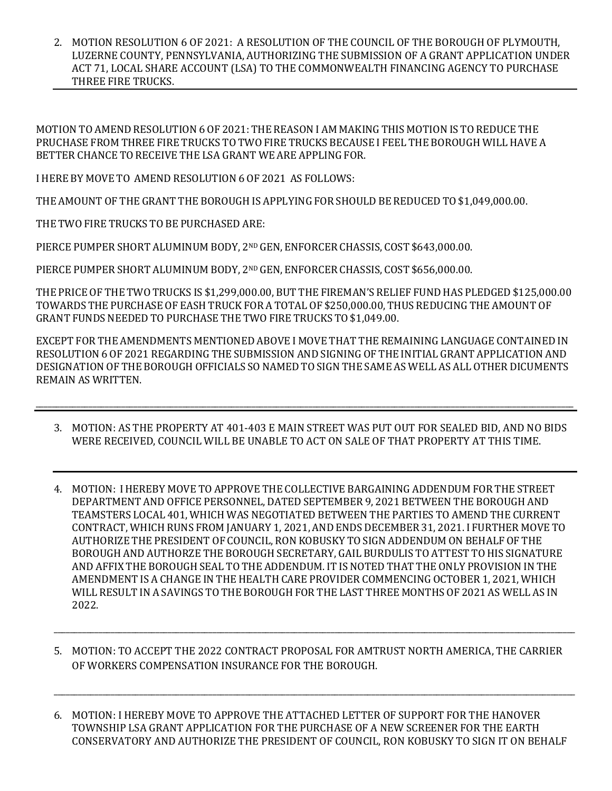2. MOTION RESOLUTION 6 OF 2021: A RESOLUTION OF THE COUNCIL OF THE BOROUGH OF PLYMOUTH, LUZERNE COUNTY, PENNSYLVANIA, AUTHORIZING THE SUBMISSION OF A GRANT APPLICATION UNDER ACT 71, LOCAL SHARE ACCOUNT (LSA) TO THE COMMONWEALTH FINANCING AGENCY TO PURCHASE THREE FIRE TRUCKS.

MOTION TO AMEND RESOLUTION 6 OF 2021: THE REASON I AM MAKING THIS MOTION IS TO REDUCE THE PRUCHASE FROM THREE FIRE TRUCKS TO TWO FIRE TRUCKS BECAUSE I FEEL THE BOROUGH WILLHAVE A BETTER CHANCE TO RECEIVE THE LSA GRANT WE ARE APPLING FOR.

I HERE BY MOVE TO AMEND RESOLUTION 6 OF 2021 AS FOLLOWS:

THE AMOUNT OF THE GRANT THE BOROUGHIS APPLYING FOR SHOULD BE REDUCED TO \$1,049,000.00.

THE TWO FIRE TRUCKS TO BE PURCHASED ARE:

PIERCE PUMPER SHORT ALUMINUM BODY, 2<sup>ND</sup> GEN, ENFORCER CHASSIS, COST \$643,000.00.

PIERCE PUMPER SHORT ALUMINUM BODY, 2ND GEN, ENFORCER CHASSIS, COST \$656,000.00.

THE PRICE OF THE TWO TRUCKS IS \$1,299,000.00, BUT THE FIREMAN'S RELIEF FUND HAS PLEDGED \$125,000.00 TOWARDS THE PURCHASE OF EASH TRUCK FOR A TOTAL OF \$250,000.00, THUS REDUCING THE AMOUNT OF GRANT FUNDS NEEDED TO PURCHASE THE TWO FIRE TRUCKS TO \$1,049.00.

EXCEPT FOR THE AMENDMENTS MENTIONED ABOVE I MOVE THAT THE REMAINING LANGUAGE CONTAINED IN RESOLUTION 6 OF 2021 REGARDING THE SUBMISSION AND SIGNING OF THE INITIAL GRANT APPLICATION AND DESIGNATION OF THE BOROUGH OFFICIALS SO NAMED TO SIGN THE SAME AS WELL AS ALL OTHER DICUMENTS REMAIN AS WRITTEN.

\_\_\_\_\_\_\_\_\_\_\_\_\_\_\_\_\_\_\_\_\_\_\_\_\_\_\_\_\_\_\_\_\_\_\_\_\_\_\_\_\_\_\_\_\_\_\_\_\_\_\_\_\_\_\_\_\_\_\_\_\_\_\_\_\_\_\_\_\_\_\_\_\_\_\_\_\_\_\_\_\_\_\_\_\_\_\_\_\_\_\_\_\_\_\_\_\_\_\_\_\_\_\_\_\_\_\_\_\_\_\_\_\_\_\_\_\_\_\_\_\_\_\_\_\_\_\_\_\_\_\_\_

- 3. MOTION: AS THE PROPERTY AT 401-403 E MAIN STREET WAS PUT OUT FOR SEALED BID, AND NO BIDS WERE RECEIVED, COUNCIL WILL BE UNABLE TO ACT ON SALE OF THAT PROPERTY AT THIS TIME.
- 4. MOTION: I HEREBY MOVE TO APPROVE THE COLLECTIVE BARGAINING ADDENDUM FOR THE STREET DEPARTMENT AND OFFICE PERSONNEL, DATED SEPTEMBER 9, 2021 BETWEEN THE BOROUGH AND TEAMSTERS LOCAL 401, WHICH WAS NEGOTIATED BETWEEN THE PARTIES TO AMEND THE CURRENT CONTRACT, WHICH RUNS FROM JANUARY 1, 2021, AND ENDS DECEMBER 31, 2021. I FURTHER MOVE TO AUTHORIZE THE PRESIDENT OF COUNCIL, RON KOBUSKY TO SIGN ADDENDUM ON BEHALF OF THE BOROUGH AND AUTHORZE THE BOROUGH SECRETARY, GAIL BURDULIS TO ATTEST TO HIS SIGNATURE AND AFFIX THE BOROUGH SEAL TO THE ADDENDUM. IT IS NOTED THAT THE ONLY PROVISION INTHE AMENDMENT IS A CHANGE IN THE HEALTH CARE PROVIDER COMMENCING OCTOBER 1, 2021, WHICH WILL RESULT IN A SAVINGS TO THE BOROUGH FOR THE LAST THREE MONTHS OF 2021 AS WELL AS IN 2022.
- 5. MOTION: TO ACCEPT THE 2022 CONTRACT PROPOSAL FOR AMTRUST NORTH AMERICA, THE CARRIER OF WORKERS COMPENSATION INSURANCE FOR THE BOROUGH.

\_\_\_\_\_\_\_\_\_\_\_\_\_\_\_\_\_\_\_\_\_\_\_\_\_\_\_\_\_\_\_\_\_\_\_\_\_\_\_\_\_\_\_\_\_\_\_\_\_\_\_\_\_\_\_\_\_\_\_\_\_\_\_\_\_\_\_\_\_\_\_\_\_\_\_\_\_\_\_\_\_\_\_\_\_\_\_\_\_\_\_\_\_\_\_\_\_\_\_\_\_\_\_\_\_\_\_\_\_\_\_\_\_\_\_\_\_\_\_\_\_\_\_\_\_\_\_\_

6. MOTION: I HEREBY MOVE TO APPROVE THE ATTACHED LETTER OF SUPPORT FOR THE HANOVER TOWNSHIP LSA GRANT APPLICATION FOR THE PURCHASE OF A NEW SCREENER FOR THE EARTH CONSERVATORY AND AUTHORIZE THE PRESIDENT OF COUNCIL, RON KOBUSKY TO SIGN IT ON BEHALF

\_\_\_\_\_\_\_\_\_\_\_\_\_\_\_\_\_\_\_\_\_\_\_\_\_\_\_\_\_\_\_\_\_\_\_\_\_\_\_\_\_\_\_\_\_\_\_\_\_\_\_\_\_\_\_\_\_\_\_\_\_\_\_\_\_\_\_\_\_\_\_\_\_\_\_\_\_\_\_\_\_\_\_\_\_\_\_\_\_\_\_\_\_\_\_\_\_\_\_\_\_\_\_\_\_\_\_\_\_\_\_\_\_\_\_\_\_\_\_\_\_\_\_\_\_\_\_\_